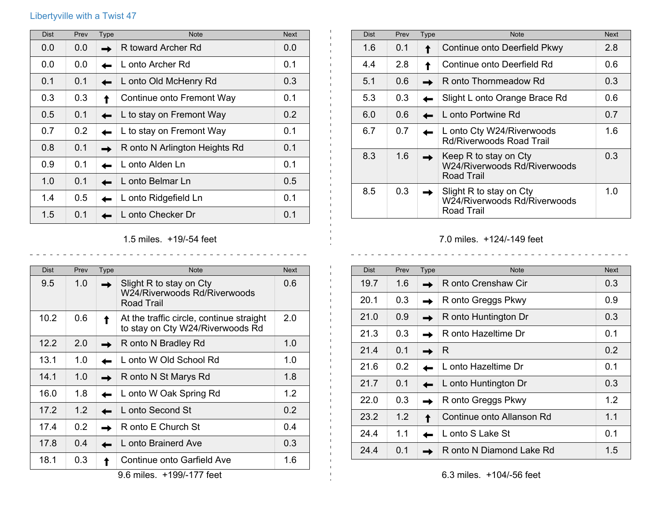## Libertyville with a Twist 47

| <b>Dist</b> | Prev | <b>Type</b> | <b>Note</b>                   | <b>Next</b> |
|-------------|------|-------------|-------------------------------|-------------|
| 0.0         | 0.0  |             | R toward Archer Rd            | 0.0         |
| 0.0         | 0.0  |             | L onto Archer Rd              | 0.1         |
| 0.1         | 0.1  |             | L onto Old McHenry Rd         | 0.3         |
| 0.3         | 0.3  |             | Continue onto Fremont Way     | 0.1         |
| 0.5         | 0.1  |             | L to stay on Fremont Way      | 0.2         |
| 0.7         | 0.2  |             | L to stay on Fremont Way      | 0.1         |
| 0.8         | 0.1  |             | R onto N Arlington Heights Rd | 0.1         |
| 0.9         | 0.1  |             | L onto Alden Ln               | 0.1         |
| 1.0         | 0.1  |             | L onto Belmar Ln              | 0.5         |
| 1.4         | 0.5  |             | L onto Ridgefield Ln          | 0.1         |
| 1.5         | 0.1  |             | L onto Checker Dr             | 0.1         |

| <b>Dist</b> | Prev | <b>Type</b> | <b>Note</b>                                                           | <b>Next</b> |
|-------------|------|-------------|-----------------------------------------------------------------------|-------------|
| 1.6         | 0.1  |             | Continue onto Deerfield Pkwy                                          | 2.8         |
| 4.4         | 2.8  |             | Continue onto Deerfield Rd                                            | 0.6         |
| 5.1         | 0.6  |             | R onto Thornmeadow Rd                                                 | 0.3         |
| 5.3         | 0.3  |             | Slight L onto Orange Brace Rd                                         | 0.6         |
| 6.0         | 0.6  |             | L onto Portwine Rd                                                    | 0.7         |
| 6.7         | 0.7  |             | L onto Cty W24/Riverwoods<br><b>Rd/Riverwoods Road Trail</b>          | 1.6         |
| 8.3         | 1.6  |             | Keep R to stay on Cty<br>W24/Riverwoods Rd/Riverwoods<br>Road Trail   | 0.3         |
| 8.5         | 0.3  |             | Slight R to stay on Cty<br>W24/Riverwoods Rd/Riverwoods<br>Road Trail | 1.0         |

## 7.0 miles. +124/-149 feet

| <b>Dist</b> | Prev | <b>Type</b> | <b>Note</b>               | <b>Next</b> |
|-------------|------|-------------|---------------------------|-------------|
| 19.7        | 1.6  |             | R onto Crenshaw Cir       | 0.3         |
| 20.1        | 0.3  |             | R onto Greggs Pkwy        | 0.9         |
| 21.0        | 0.9  |             | R onto Huntington Dr      | 0.3         |
| 21.3        | 0.3  |             | R onto Hazeltime Dr       | 0.1         |
| 21.4        | 0.1  |             | R                         | 0.2         |
| 21.6        | 0.2  |             | L onto Hazeltime Dr       | 0.1         |
| 21.7        | 0.1  |             | L onto Huntington Dr      | 0.3         |
| 22.0        | 0.3  |             | R onto Greggs Pkwy        | 1.2         |
| 23.2        | 1.2  |             | Continue onto Allanson Rd | 1.1         |
| 24.4        | 1.1  |             | L onto S Lake St          | 0.1         |
| 24.4        | 0.1  |             | R onto N Diamond Lake Rd  | 1.5         |

## 1.5 miles. +19/-54 feet

<u>. . . . . . . . . . . .</u>

 $\frac{1}{2}$ 

| <b>Dist</b> | Prev | Type | <b>Note</b>                                                                  | <b>Next</b> |
|-------------|------|------|------------------------------------------------------------------------------|-------------|
| 9.5         | 1.0  |      | Slight R to stay on Cty<br>W24/Riverwoods Rd/Riverwoods<br><b>Road Trail</b> | 0.6         |
| 10.2        | 0.6  |      | At the traffic circle, continue straight<br>to stay on Cty W24/Riverwoods Rd | 2.0         |
| 12.2        | 2.0  |      | R onto N Bradley Rd                                                          | 1.0         |
| 13.1        | 1.0  |      | L onto W Old School Rd                                                       | 1.0         |
| 14.1        | 1.0  |      | R onto N St Marys Rd                                                         | 1.8         |
| 16.0        | 1.8  |      | L onto W Oak Spring Rd                                                       | 1.2         |
| 17.2        | 1.2  |      | L onto Second St                                                             | 0.2         |
| 17.4        | 0.2  |      | R onto E Church St                                                           | 0.4         |
| 17.8        | 0.4  |      | L onto Brainerd Ave                                                          | 0.3         |
| 18.1        | 0.3  |      | Continue onto Garfield Ave                                                   | 1.6         |

9.6 miles. +199/-177 feet